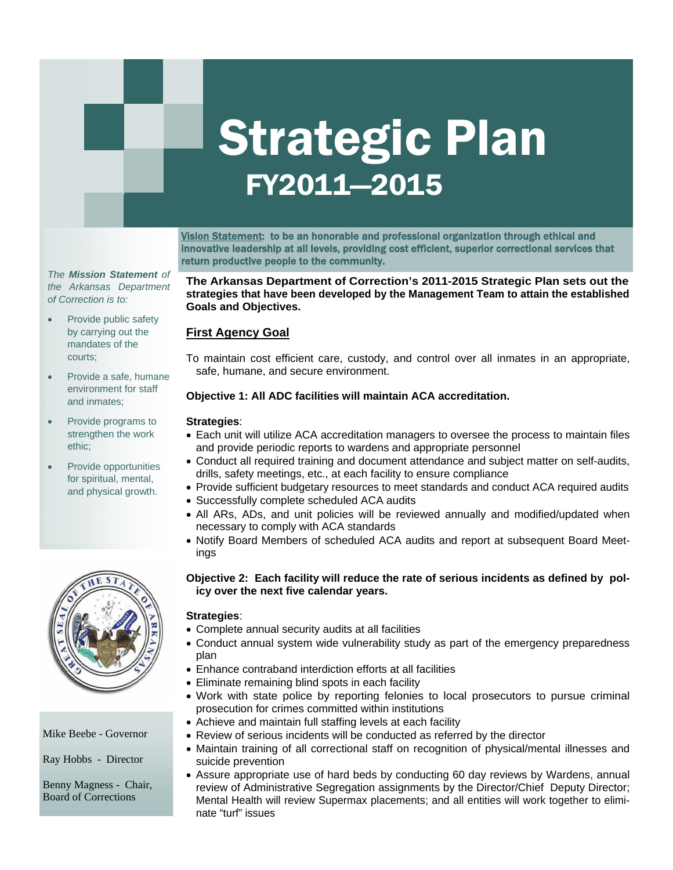# Strategic Plan FY2011—2015

Vision Statement: to be an honorable and professional organization through ethical and innovative leadership at all levels, providing cost efficient, superior correctional services that return productive people to the community.

*The Mission Statement of the Arkansas Department of Correction is to:* 

- Provide public safety by carrying out the mandates of the courts;
- Provide a safe, humane environment for staff and inmates;
- Provide programs to strengthen the work ethic;
- Provide opportunities for spiritual, mental, and physical growth.



#### Mike Beebe - Governor

Ray Hobbs - Director

Benny Magness - Chair, Board of Corrections

#### **The Arkansas Department of Correction's 2011-2015 Strategic Plan sets out the strategies that have been developed by the Management Team to attain the established Goals and Objectives.**

# **First Agency Goal**

To maintain cost efficient care, custody, and control over all inmates in an appropriate, safe, humane, and secure environment.

#### **Objective 1: All ADC facilities will maintain ACA accreditation.**

#### **Strategies**:

- Each unit will utilize ACA accreditation managers to oversee the process to maintain files and provide periodic reports to wardens and appropriate personnel
- Conduct all required training and document attendance and subject matter on self-audits, drills, safety meetings, etc., at each facility to ensure compliance
	- ance  $\overline{R}$  as  $\overline{R}$  as  $\overline{R}$  as a single associated associated associated associated associated associated associated associated associated associated associated associated associated associated associated associ • Provide sufficient budgetary resources to meet standards and conduct ACA required audits
- Successfully complete scheduled ACA audits
- mental health evaluations • All ARs, ADs, and unit policies will be reviewed annually and modified/updated when • Maintain a digital archival necessary to comply with ACA standards
- Notify Board Members of scheduled ACA audits and report at subsequent Board Meetings

# Objective 2: Each facility will reduce the rate of serious incidents as defined by pol**icy over the next five calendar years.**

#### **Strategies**:

- Complete annual security audits at all facilities
- Conduct annual system wide vulnerability study as part of the emergency preparedness plan
- Enhance contraband interdiction efforts at all facilities
- Eliminate remaining blind spots in each facility
- Work with state police by reporting felonies to local prosecutors to pursue criminal prosecution for crimes committed within institutions
- Achieve and maintain full staffing levels at each facility
- Review of serious incidents will be conducted as referred by the director
- Maintain training of all correctional staff on recognition of physical/mental illnesses and suicide prevention
- Assure appropriate use of hard beds by conducting 60 day reviews by Wardens, annual review of Administrative Segregation assignments by the Director/Chief Deputy Director; Mental Health will review Supermax placements; and all entities will work together to eliminate "turf" issues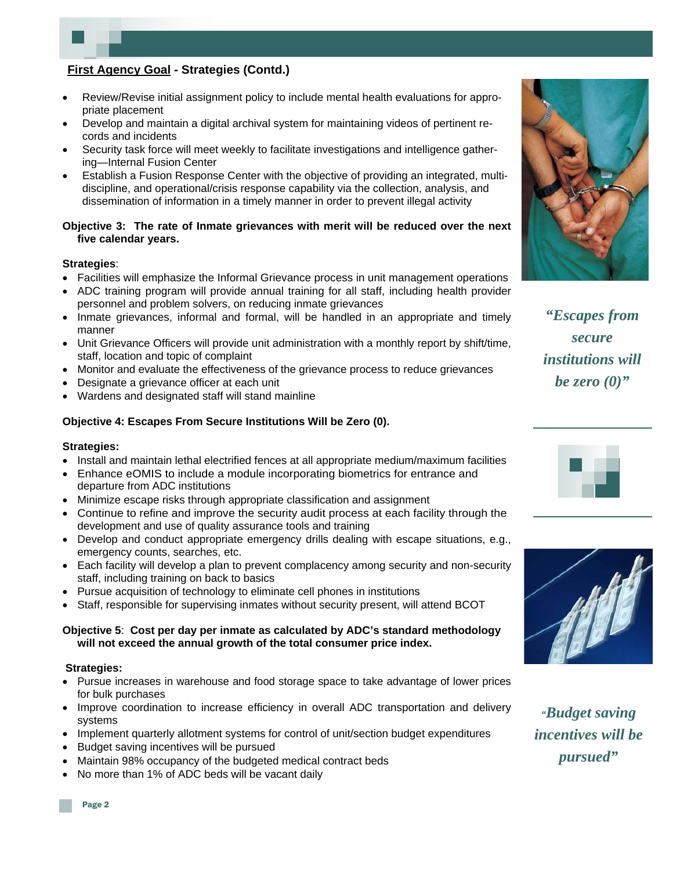# **First Agency Goal - Strategies (Contd.)**

- Review/Revise initial assignment policy to include mental health evaluations for appropriate placement
- Develop and maintain a digital archival system for maintaining videos of pertinent records and incidents
- Security task force will meet weekly to facilitate investigations and intelligence gathering—Internal Fusion Center
- Establish a Fusion Response Center with the objective of providing an integrated, multidiscipline, and operational/crisis response capability via the collection, analysis, and dissemination of information in a timely manner in order to prevent illegal activity

#### **Objective 3: The rate of Inmate grievances with merit will be reduced over the next five calendar years.**

#### **Strategies**:

- Facilities will emphasize the Informal Grievance process in unit management operations
- ADC training program will provide annual training for all staff, including health provider personnel and problem solvers, on reducing inmate grievances
- Inmate grievances, informal and formal, will be handled in an appropriate and timely manner
- Unit Grievance Officers will provide unit administration with a monthly report by shift/time, staff, location and topic of complaint
- Monitor and evaluate the effectiveness of the grievance process to reduce grievances
- Designate a grievance officer at each unit
- Wardens and designated staff will stand mainline

#### **Objective 4: Escapes From Secure Institutions Will be Zero (0).**

#### **Strategies:**

- Install and maintain lethal electrified fences at all appropriate medium/maximum facilities
- Enhance eOMIS to include a module incorporating biometrics for entrance and departure from ADC institutions
- Minimize escape risks through appropriate classification and assignment
- Continue to refine and improve the security audit process at each facility through the development and use of quality assurance tools and training
- • Develop and conduct appropriate emergency drills dealing with escape situations, e.g., emergency counts, searches, etc.
- Each facility will develop a plan to prevent complacency among security and non-security staff, including training on back to basics
- Pursue acquisition of technology to eliminate cell phones in institutions
- Staff, responsible for supervising inmates without security present, will attend BCOT

#### **Objective 5**: **Cost per day per inmate as calculated by ADC's standard methodology will not exceed the annual growth of the total consumer price index.**

#### **Strategies:**

- Pursue increases in warehouse and food storage space to take advantage of lower prices for bulk purchases
- Improve coordination to increase efficiency in overall ADC transportation and delivery systems
- Implement quarterly allotment systems for control of unit/section budget expenditures
- Budget saving incentives will be pursued
- Maintain 98% occupancy of the budgeted medical contract beds
- No more than 1% of ADC beds will be vacant daily



*"Escapes from secure institutions will be zero (0)"* 





*"Budget saving incentives will be pursued"*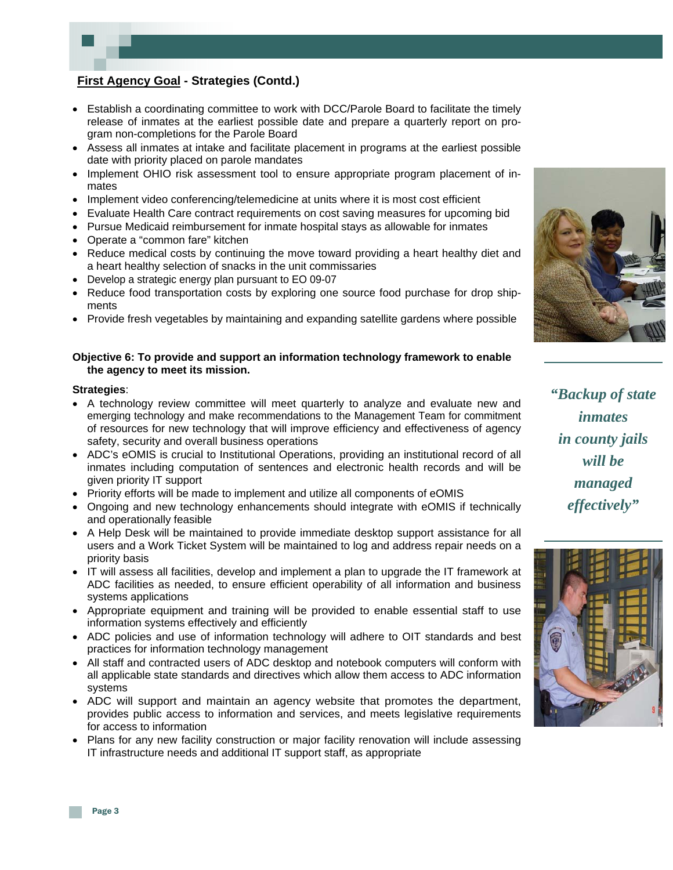# **First Agency Goal - Strategies (Contd.)**

- Establish a coordinating committee to work with DCC/Parole Board to facilitate the timely release of inmates at the earliest possible date and prepare a quarterly report on program non-completions for the Parole Board
- Assess all inmates at intake and facilitate placement in programs at the earliest possible date with priority placed on parole mandates
- Implement OHIO risk assessment tool to ensure appropriate program placement of inmates
- Implement video conferencing/telemedicine at units where it is most cost efficient
- Evaluate Health Care contract requirements on cost saving measures for upcoming bid
- Pursue Medicaid reimbursement for inmate hospital stays as allowable for inmates
- Operate a "common fare" kitchen
- Reduce medical costs by continuing the move toward providing a heart healthy diet and a heart healthy selection of snacks in the unit commissaries
- Develop a strategic energy plan pursuant to EO 09-07
- Reduce food transportation costs by exploring one source food purchase for drop shipments
- Provide fresh vegetables by maintaining and expanding satellite gardens where possible

#### **Objective 6: To provide and support an information technology framework to enable the agency to meet its mission.**

#### **Strategies**:

- A technology review committee will meet quarterly to analyze and evaluate new and emerging technology and make recommendations to the Management Team for commitment of resources for new technology that will improve efficiency and effectiveness of agency safety, security and overall business operations
- ADC's eOMIS is crucial to Institutional Operations, providing an institutional record of all inmates including computation of sentences and electronic health records and will be given priority IT support
- Priority efforts will be made to implement and utilize all components of eOMIS
- Ongoing and new technology enhancements should integrate with eOMIS if technically and operationally feasible
- A Help Desk will be maintained to provide immediate desktop support assistance for all users and a Work Ticket System will be maintained to log and address repair needs on a priority basis
- IT will assess all facilities, develop and implement a plan to upgrade the IT framework at ADC facilities as needed, to ensure efficient operability of all information and business systems applications
- Appropriate equipment and training will be provided to enable essential staff to use information systems effectively and efficiently
- ADC policies and use of information technology will adhere to OIT standards and best practices for information technology management
- All staff and contracted users of ADC desktop and notebook computers will conform with all applicable state standards and directives which allow them access to ADC information systems
- ADC will support and maintain an agency website that promotes the department, provides public access to information and services, and meets legislative requirements for access to information
- Plans for any new facility construction or major facility renovation will include assessing IT infrastructure needs and additional IT support staff, as appropriate



*"Backup of state inmates in county jails will be managed effectively"* 

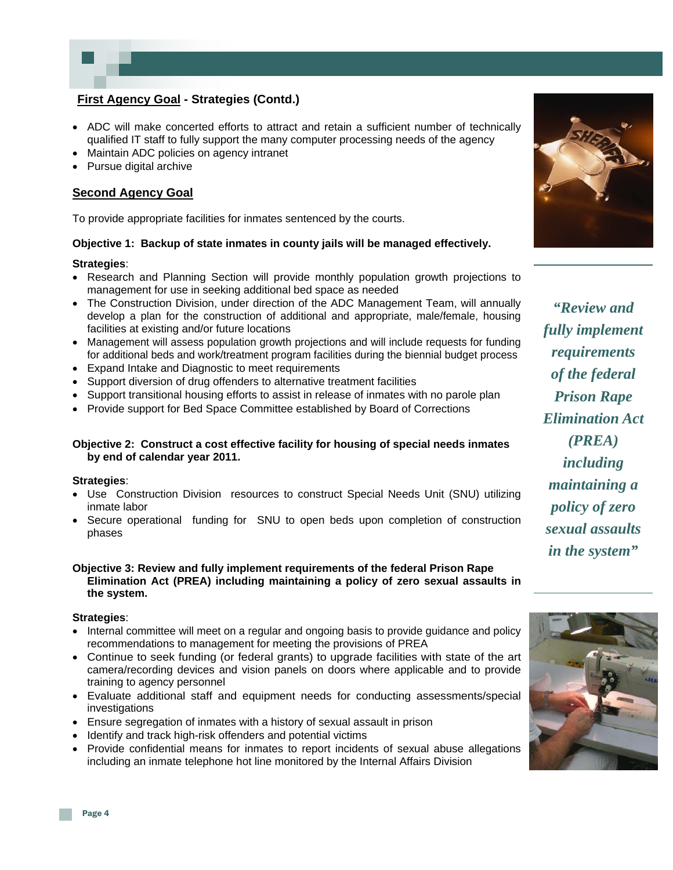

# **First Agency Goal - Strategies (Contd.)**

- ADC will make concerted efforts to attract and retain a sufficient number of technically qualified IT staff to fully support the many computer processing needs of the agency
- Maintain ADC policies on agency intranet
- Pursue digital archive

### **Second Agency Goal**

To provide appropriate facilities for inmates sentenced by the courts.

#### **Objective 1: Backup of state inmates in county jails will be managed effectively.**

#### **Strategies**:

- Research and Planning Section will provide monthly population growth projections to management for use in seeking additional bed space as needed
- The Construction Division, under direction of the ADC Management Team, will annually develop a plan for the construction of additional and appropriate, male/female, housing facilities at existing and/or future locations
- Management will assess population growth projections and will include requests for funding for additional beds and work/treatment program facilities during the biennial budget process
- Expand Intake and Diagnostic to meet requirements
- Support diversion of drug offenders to alternative treatment facilities
- Support transitional housing efforts to assist in release of inmates with no parole plan
- Provide support for Bed Space Committee established by Board of Corrections

#### **Objective 2: Construct a cost effective facility for housing of special needs inmates by end of calendar year 2011.**

#### **Strategies**:

- Use Construction Division resources to construct Special Needs Unit (SNU) utilizing inmate labor
- Secure operational funding for SNU to open beds upon completion of construction phases

#### **Objective 3: Review and fully implement requirements of the federal Prison Rape Elimination Act (PREA) including maintaining a policy of zero sexual assaults in the system.**

#### **Strategies**:

- Internal committee will meet on a regular and ongoing basis to provide guidance and policy recommendations to management for meeting the provisions of PREA
- Continue to seek funding (or federal grants) to upgrade facilities with state of the art camera/recording devices and vision panels on doors where applicable and to provide training to agency personnel
- Evaluate additional staff and equipment needs for conducting assessments/special investigations
- Ensure segregation of inmates with a history of sexual assault in prison
- Identify and track high-risk offenders and potential victims
- Provide confidential means for inmates to report incidents of sexual abuse allegations including an inmate telephone hot line monitored by the Internal Affairs Division



*"Review and fully implement requirements of the federal Prison Rape Elimination Act (PREA) including maintaining a policy of zero sexual assaults in the system"* 

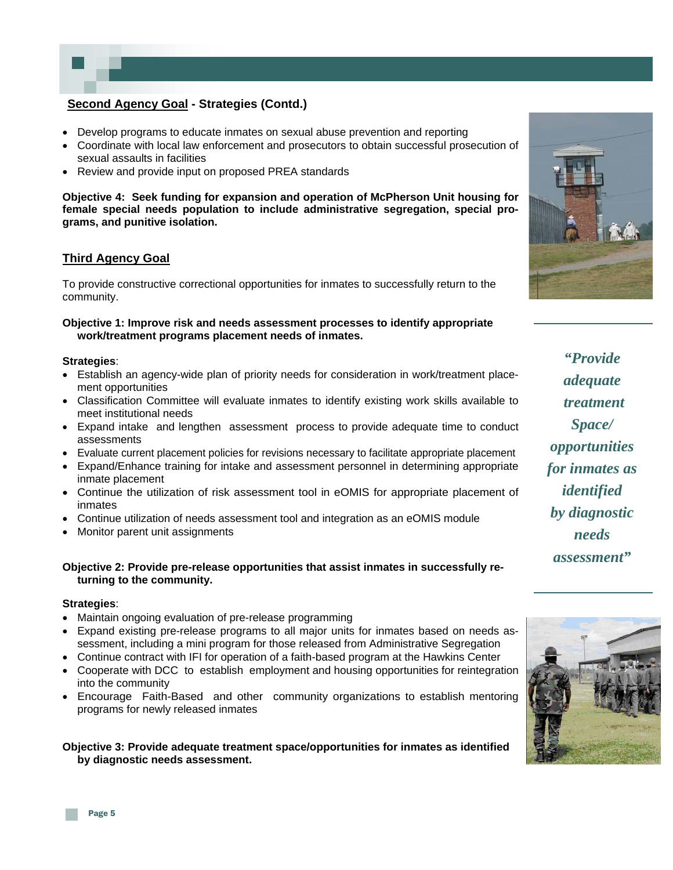# **Second Agency Goal - Strategies (Contd.)**

- Develop programs to educate inmates on sexual abuse prevention and reporting
- Coordinate with local law enforcement and prosecutors to obtain successful prosecution of sexual assaults in facilities
- Review and provide input on proposed PREA standards

**Objective 4: Seek funding for expansion and operation of McPherson Unit housing for female special needs population to include administrative segregation, special programs, and punitive isolation.** 

#### **Third Agency Goal**

To provide constructive correctional opportunities for inmates to successfully return to the community.

#### **Objective 1: Improve risk and needs assessment processes to identify appropriate work/treatment programs placement needs of inmates.**

#### **Strategies**:

- Establish an agency-wide plan of priority needs for consideration in work/treatment placement opportunities
- Classification Committee will evaluate inmates to identify existing work skills available to meet institutional needs
- Expand intake and lengthen assessment process to provide adequate time to conduct assessments
- Evaluate current placement policies for revisions necessary to facilitate appropriate placement
- Expand/Enhance training for intake and assessment personnel in determining appropriate inmate placement
- Continue the utilization of risk assessment tool in eOMIS for appropriate placement of inmates
- Continue utilization of needs assessment tool and integration as an eOMIS module
- Monitor parent unit assignments

#### **Objective 2: Provide pre-release opportunities that assist inmates in successfully re turning to the community.**

#### **Strategies**:

- Maintain ongoing evaluation of pre-release programming
- Expand existing pre-release programs to all major units for inmates based on needs assessment, including a mini program for those released from Administrative Segregation
- Continue contract with IFI for operation of a faith-based program at the Hawkins Center
- Cooperate with DCC to establish employment and housing opportunities for reintegration into the community
- Encourage Faith-Based and other community organizations to establish mentoring programs for newly released inmates

#### **Objective 3: Provide adequate treatment space/opportunities for inmates as identified by diagnostic needs assessment.**



*"Provide adequate treatment Space/ opportunities for inmates as identified by diagnostic needs assessment"* 

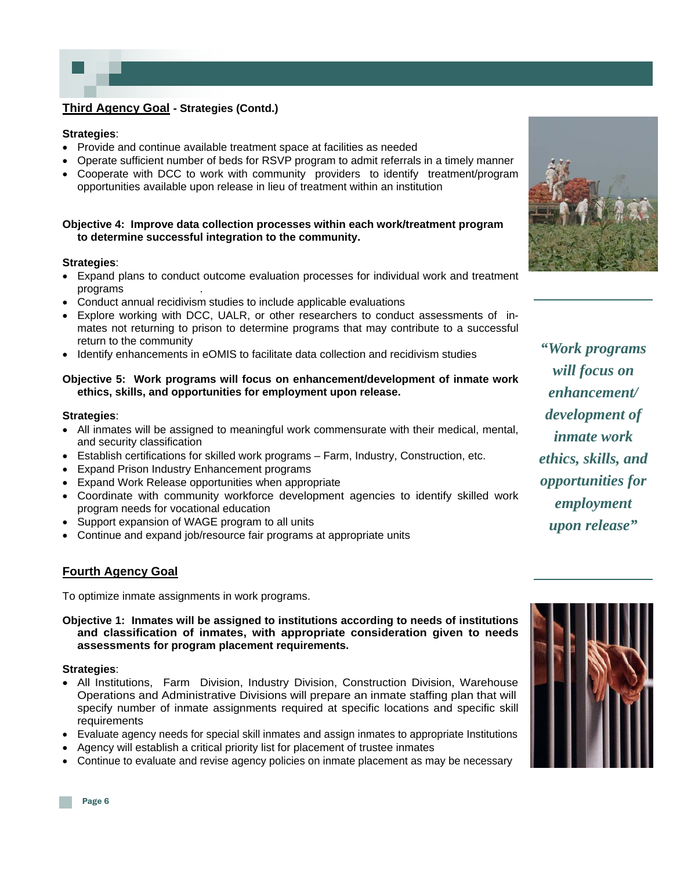# **Third Agency Goal - Strategies (Contd.)**

#### **Strategies**:

- Provide and continue available treatment space at facilities as needed
- Operate sufficient number of beds for RSVP program to admit referrals in a timely manner
- Cooperate with DCC to work with community providers to identify treatment/program opportunities available upon release in lieu of treatment within an institution

#### **Objective 4: Improve data collection processes within each work/treatment program to determine successful integration to the community.**

#### **Strategies**:

- Expand plans to conduct outcome evaluation processes for individual work and treatment programs .
- Conduct annual recidivism studies to include applicable evaluations
- Explore working with DCC, UALR, or other researchers to conduct assessments of inmates not returning to prison to determine programs that may contribute to a successful return to the community
- Identify enhancements in eOMIS to facilitate data collection and recidivism studies

#### **Objective 5: Work programs will focus on enhancement/development of inmate work ethics, skills, and opportunities for employment upon release.**

#### **Strategies**:

- All inmates will be assigned to meaningful work commensurate with their medical, mental, and security classification
- Establish certifications for skilled work programs Farm, Industry, Construction, etc.
- Expand Prison Industry Enhancement programs
- Expand Work Release opportunities when appropriate
- Coordinate with community workforce development agencies to identify skilled work program needs for vocational education
- Support expansion of WAGE program to all units
- Continue and expand job/resource fair programs at appropriate units

#### **Fourth Agency Goal**

To optimize inmate assignments in work programs.

**Objective 1: Inmates will be assigned to institutions according to needs of institutions and classification of inmates, with appropriate consideration given to needs assessments for program placement requirements.** 

#### **Strategies**:

- All Institutions, Farm Division, Industry Division, Construction Division, Warehouse Operations and Administrative Divisions will prepare an inmate staffing plan that will specify number of inmate assignments required at specific locations and specific skill requirements
- Evaluate agency needs for special skill inmates and assign inmates to appropriate Institutions
- Agency will establish a critical priority list for placement of trustee inmates
- Continue to evaluate and revise agency policies on inmate placement as may be necessary



*"Work programs will focus on enhancement/ development of inmate work ethics, skills, and opportunities for employment upon release"* 

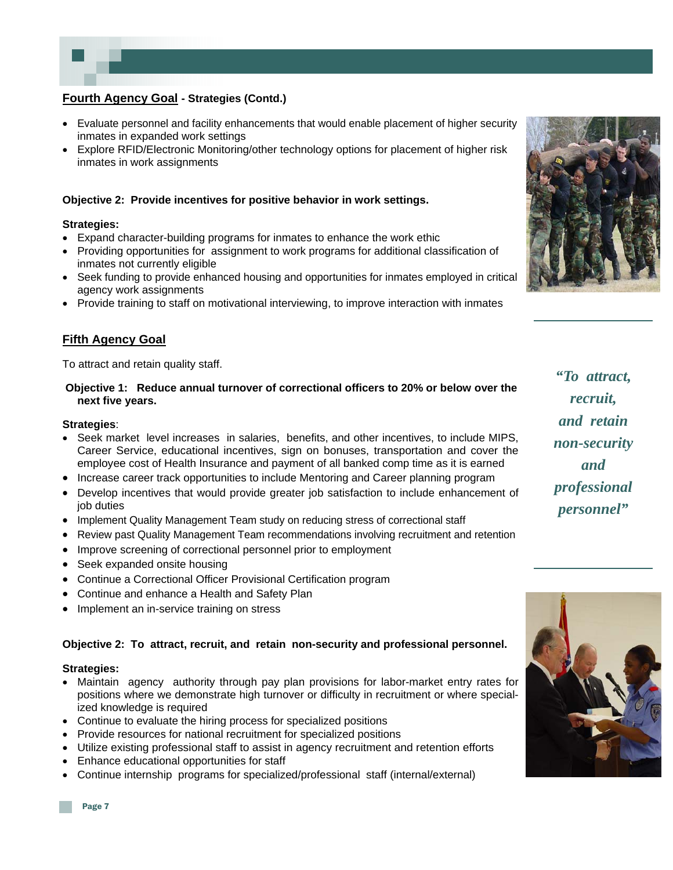# **Fourth Agency Goal - Strategies (Contd.)**

- Evaluate personnel and facility enhancements that would enable placement of higher security inmates in expanded work settings
- Explore RFID/Electronic Monitoring/other technology options for placement of higher risk inmates in work assignments

#### **Objective 2: Provide incentives for positive behavior in work settings.**

#### **Strategies:**

- Expand character-building programs for inmates to enhance the work ethic
- Providing opportunities for assignment to work programs for additional classification of inmates not currently eligible
- Seek funding to provide enhanced housing and opportunities for inmates employed in critical agency work assignments
- Provide training to staff on motivational interviewing, to improve interaction with inmates

#### **Fifth Agency Goal**

To attract and retain quality staff.

#### **Objective 1: Reduce annual turnover of correctional officers to 20% or below over the next five years.**

#### **Strategies**:

- Seek market level increases in salaries, benefits, and other incentives, to include MIPS, Career Service, educational incentives, sign on bonuses, transportation and cover the employee cost of Health Insurance and payment of all banked comp time as it is earned
- Increase career track opportunities to include Mentoring and Career planning program
- Develop incentives that would provide greater job satisfaction to include enhancement of job duties
- Implement Quality Management Team study on reducing stress of correctional staff
- Review past Quality Management Team recommendations involving recruitment and retention
- Improve screening of correctional personnel prior to employment
- Seek expanded onsite housing
- Continue a Correctional Officer Provisional Certification program
- Continue and enhance a Health and Safety Plan
- Implement an in-service training on stress

#### **Objective 2: To attract, recruit, and retain non-security and professional personnel.**

#### **Strategies:**

- Maintain agency authority through pay plan provisions for labor-market entry rates for positions where we demonstrate high turnover or difficulty in recruitment or where specialized knowledge is required
- Continue to evaluate the hiring process for specialized positions
- Provide resources for national recruitment for specialized positions
- Utilize existing professional staff to assist in agency recruitment and retention efforts
- Enhance educational opportunities for staff
- Continue internship programs for specialized/professional staff (internal/external)



*"To attract, recruit, and retain non-security and professional personnel"* 

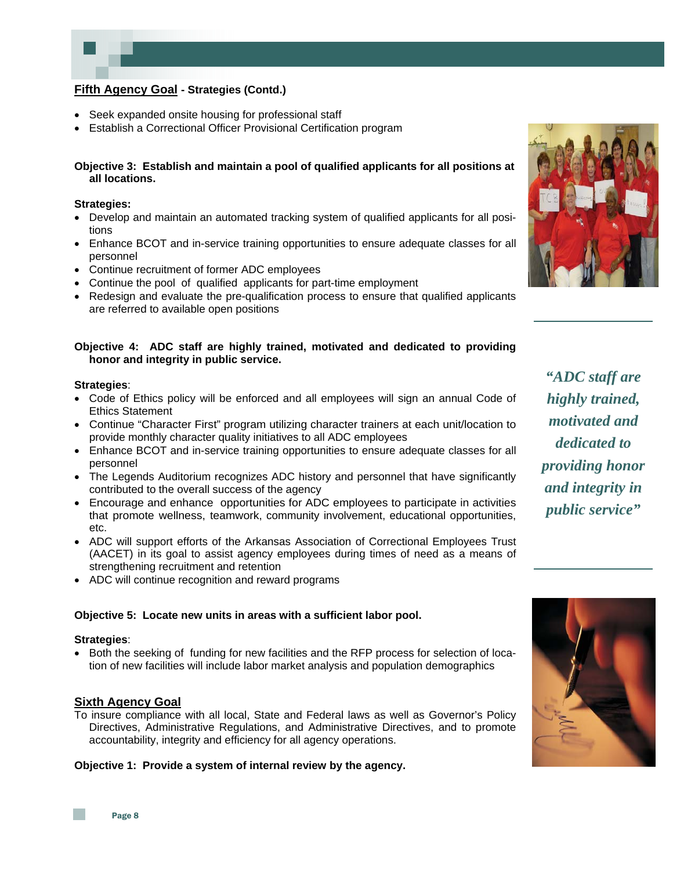# **Fifth Agency Goal - Strategies (Contd.)**

- Seek expanded onsite housing for professional staff
- Establish a Correctional Officer Provisional Certification program

#### **Objective 3: Establish and maintain a pool of qualified applicants for all positions at all locations.**

#### **Strategies:**

- Develop and maintain an automated tracking system of qualified applicants for all positions
- Enhance BCOT and in-service training opportunities to ensure adequate classes for all personnel
- Continue recruitment of former ADC employees
- Continue the pool of qualified applicants for part-time employment
- Redesign and evaluate the pre-qualification process to ensure that qualified applicants are referred to available open positions

#### **Objective 4: ADC staff are highly trained, motivated and dedicated to providing honor and integrity in public service.**

#### **Strategies**:

- Code of Ethics policy will be enforced and all employees will sign an annual Code of Ethics Statement
- Continue "Character First" program utilizing character trainers at each unit/location to provide monthly character quality initiatives to all ADC employees
- Enhance BCOT and in-service training opportunities to ensure adequate classes for all personnel
- The Legends Auditorium recognizes ADC history and personnel that have significantly contributed to the overall success of the agency
- Encourage and enhance opportunities for ADC employees to participate in activities that promote wellness, teamwork, community involvement, educational opportunities, etc.
- ADC will support efforts of the Arkansas Association of Correctional Employees Trust (AACET) in its goal to assist agency employees during times of need as a means of strengthening recruitment and retention
- ADC will continue recognition and reward programs

#### **Objective 5: Locate new units in areas with a sufficient labor pool.**

#### **Strategies**:

• Both the seeking of funding for new facilities and the RFP process for selection of location of new facilities will include labor market analysis and population demographics

#### **Sixth Agency Goal**

To insure compliance with all local, State and Federal laws as well as Governor's Policy Directives, Administrative Regulations, and Administrative Directives, and to promote accountability, integrity and efficiency for all agency operations.

#### **Objective 1: Provide a system of internal review by the agency.**



*"ADC staff are highly trained, motivated and dedicated to providing honor and integrity in public service"*